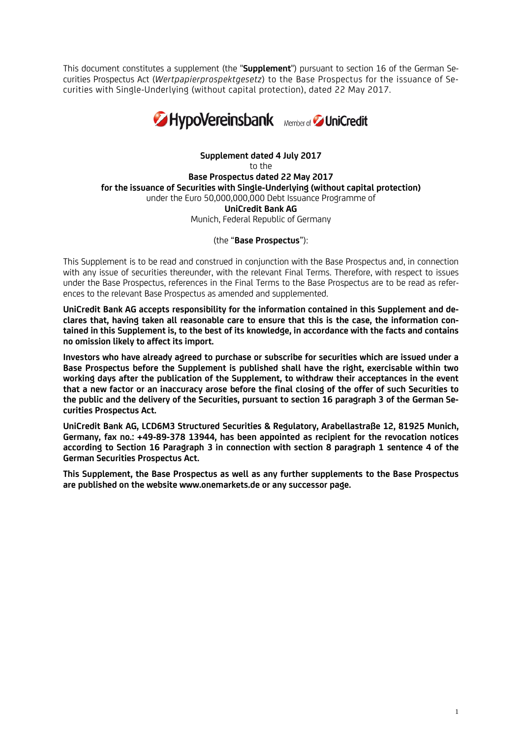This document constitutes a supplement (the "**Supplement**") pursuant to section 16 of the German Securities Prospectus Act (*Wertpapierprospektgesetz*) to the Base Prospectus for the issuance of Securities with Single-Underlying (without capital protection), dated 22 May 2017.



**Supplement dated 4 July 2017** to the **Base Prospectus dated 22 May 2017 for the issuance of Securities with Single-Underlying (without capital protection)** under the Euro 50,000,000,000 Debt Issuance Programme of **UniCredit Bank AG** Munich, Federal Republic of Germany

(the "**Base Prospectus**"):

This Supplement is to be read and construed in conjunction with the Base Prospectus and, in connection with any issue of securities thereunder, with the relevant Final Terms. Therefore, with respect to issues under the Base Prospectus, references in the Final Terms to the Base Prospectus are to be read as references to the relevant Base Prospectus as amended and supplemented.

**UniCredit Bank AG accepts responsibility for the information contained in this Supplement and declares that, having taken all reasonable care to ensure that this is the case, the information contained in this Supplement is, to the best of its knowledge, in accordance with the facts and contains no omission likely to affect its import.**

**Investors who have already agreed to purchase or subscribe for securities which are issued under a Base Prospectus before the Supplement is published shall have the right, exercisable within two working days after the publication of the Supplement, to withdraw their acceptances in the event that a new factor or an inaccuracy arose before the final closing of the offer of such Securities to the public and the delivery of the Securities, pursuant to section 16 paragraph 3 of the German Securities Prospectus Act.**

**UniCredit Bank AG, LCD6M3 Structured Securities & Regulatory, Arabellastraße 12, 81925 Munich, Germany, fax no.: +49-89-378 13944, has been appointed as recipient for the revocation notices according to Section 16 Paragraph 3 in connection with section 8 paragraph 1 sentence 4 of the German Securities Prospectus Act.**

**This Supplement, the Base Prospectus as well as any further supplements to the Base Prospectus are published on the website www.onemarkets.de or any successor page.**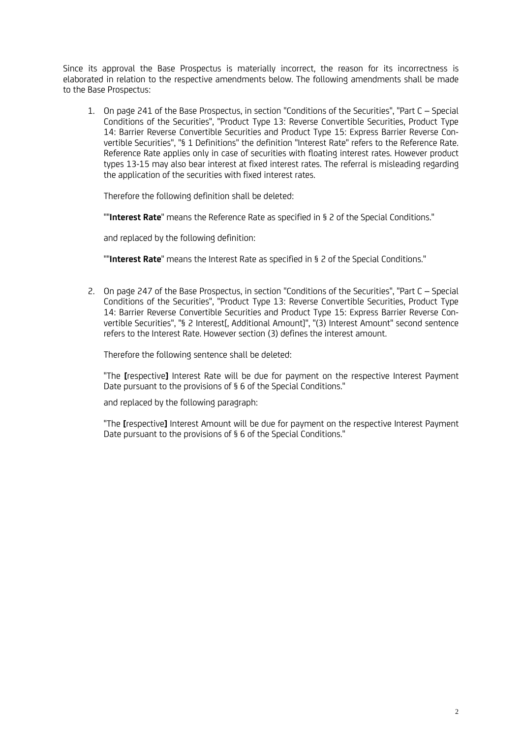Since its approval the Base Prospectus is materially incorrect, the reason for its incorrectness is elaborated in relation to the respective amendments below. The following amendments shall be made to the Base Prospectus:

1. On page 241 of the Base Prospectus, in section "Conditions of the Securities", "Part C – Special Conditions of the Securities", "Product Type 13: Reverse Convertible Securities, Product Type 14: Barrier Reverse Convertible Securities and Product Type 15: Express Barrier Reverse Convertible Securities", "§ 1 Definitions" the definition "Interest Rate" refers to the Reference Rate. Reference Rate applies only in case of securities with floating interest rates. However product types 13-15 may also bear interest at fixed interest rates. The referral is misleading regarding the application of the securities with fixed interest rates.

Therefore the following definition shall be deleted:

""**Interest Rate**" means the Reference Rate as specified in § 2 of the Special Conditions."

and replaced by the following definition:

""**Interest Rate**" means the Interest Rate as specified in § 2 of the Special Conditions."

2. On page 247 of the Base Prospectus, in section "Conditions of the Securities", "Part C – Special Conditions of the Securities", "Product Type 13: Reverse Convertible Securities, Product Type 14: Barrier Reverse Convertible Securities and Product Type 15: Express Barrier Reverse Convertible Securities", "§ 2 Interest[, Additional Amount]", "(3) Interest Amount" second sentence refers to the Interest Rate. However section (3) defines the interest amount.

Therefore the following sentence shall be deleted:

"The **[**respective**]** Interest Rate will be due for payment on the respective Interest Payment Date pursuant to the provisions of § 6 of the Special Conditions."

and replaced by the following paragraph:

"The **[**respective**]** Interest Amount will be due for payment on the respective Interest Payment Date pursuant to the provisions of § 6 of the Special Conditions."